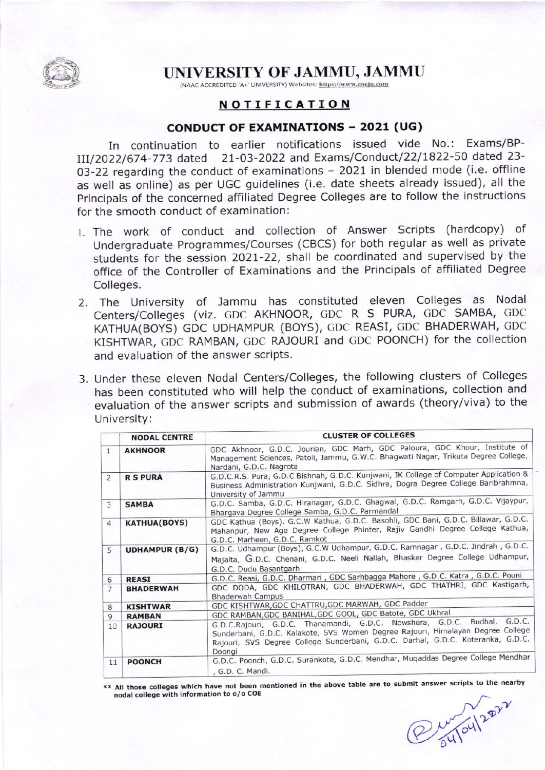

## UNIVERSITY OF JAMMU, JAMMU

(NAAC ACCREDITED 'A+' UNIVERSITY) Websites: https://www.coeju.com

## NOTIFICATION

## CoNDUCT OF EXAMTNATTONS - 2021 (UG)

In continuation to earlier notifications issued vide No.: Exams/BP-III/2022/674-773 dated 21-03-2022 and Exams/Conduct/22/1822-50 dated 23-03-22 regarding the conduct of examinations - 2021 in blended mode (i.e. offline as well as online) as per UGC guidelines (i.e, date sheets already issued), all the Principals of the concerned affiliated Degree colleges are to follow the instructions for the smooth conduct of examination:

- l. The work of conduct and collection of Answer Scripts (hardcopy) of Undergraduate Programmes/Courses (CBCS) for both reqular as well as private students for the session 2021-22, shall be coordinated and supervised by the office of the Controller of Examinations and the Principals of affiliated Degree Colleges.
- 2. The University of Jammu has constituted eleven Colleges as Nodal Centers/Colleges (viz. GDC AKHNOOR, GDC R S PURA, GDC SAMBA, GDC KATHUA(BOYS) GDC UDHAMPUR (BOYS), GDC REASI, CDC BHADERWAH, CDC KISHTWAR, GDC RAMBAN, GDC RAJOURI and GDC PooNcH) for the collection and evaluation of the answer scripts
- 3. Under these eleven Nodal Centers/Colleges, the following clusters of Colleges has been constituted who will help the conduct of examinations, collection and evaluation of the answer scripts and submission of awards (theory/viva) to the University:

|                | <b>NODAL CENTRE</b>   | <b>CLUSTER OF COLLEGES</b>                                                                                                                                                                                                                               |
|----------------|-----------------------|----------------------------------------------------------------------------------------------------------------------------------------------------------------------------------------------------------------------------------------------------------|
| $\mathbf{1}$   | <b>AKHNOOR</b>        | GDC Akhnoor, G.D.C. Jourian, GDC Marh, GDC Paloura, GDC Khour, Institute of<br>Management Sciences, Patoli, Jammu, G.W.C. Bhagwati Nagar, Trikuta Degree College,<br>Nardani, G.D.C. Nagrota                                                             |
| $\overline{2}$ | <b>R S PURA</b>       | G.D.C.R.S. Pura, G.D.C Bishnah, G.D.C. Kunjwani, JK College of Computer Application &<br>Business Administration Kunjwani, G.D.C. Sidhra, Dogra Degree College Baribrahmna,<br>University of Jammu                                                       |
| 3              | <b>SAMBA</b>          | G.D.C. Samba, G.D.C. Hiranagar, G.D.C. Ghagwal, G.D.C. Ramgarh, G.D.C. Vijaypur,<br>Bhargava Degree College Samba, G.D.C. Parmandal                                                                                                                      |
| $\overline{4}$ | <b>KATHUA(BOYS)</b>   | GDC Kathua (Boys). G.C.W Kathua, G.D.C. Basohli, GDC Bani, G.D.C. Billawar, G.D.C.<br>Mahanpur, New Age Degree College Phinter, Rajiv Gandhi Degree College Kathua,<br>G.D.C. Marheen, G.D.C. Ramkot                                                     |
| 5              | <b>UDHAMPUR (B/G)</b> | G.D.C. Udhampur (Boys), G.C.W Udhampur, G.D.C. Ramnagar, G.D.C. Jindrah, G.D.C.<br>Majalta, G.D.C. Chenani, G.D.C. Neeli Nallah, Bhasker Degree College Udhampur,<br>G.D.C. Dudu Basantgarh                                                              |
| 6              | <b>REASI</b>          | G.D.C. Reasi, G.D.C. Dharmari, GDC Sarhbagga Mahore, G.D.C. Katra, G.D.C. Pouni                                                                                                                                                                          |
| $\overline{7}$ | <b>BHADERWAH</b>      | GDC DODA, GDC KHILOTRAN, GDC BHADERWAH, GDC THATHRI, GDC Kastigarh,<br><b>Bhaderwah Campus</b>                                                                                                                                                           |
| 8              | <b>KISHTWAR</b>       | GDC KISHTWAR, GDC CHATTRU, GDC MARWAH, GDC Padder                                                                                                                                                                                                        |
| 9              | <b>RAMBAN</b>         | GDC RAMBAN, GDC BANIHAL, GDC GOOL, GDC Batote, GDC Ukhral                                                                                                                                                                                                |
| 10             | <b>RAJOURI</b>        | G.D.C.Rajouri, G.D.C. Thanamandi, G.D.C. Nowshera, G.D.C. Budhal, G.D.C.<br>Sunderbani, G.D.C. Kalakote, SVS Women Degree Rajouri, Himalayan Degree College<br>Rajouri, SVS Degree College Sunderbani, G.D.C. Darhal, G.D.C. Koteranka, G.D.C.<br>Doongi |
| 11             | <b>POONCH</b>         | G.D.C. Poonch, G.D.C. Surankote, G.D.C. Mendhar, Muqaddas Degree College Mendhar<br>, G.D. C. Mandi.                                                                                                                                                     |

\* All those colleges which have not been mentioned in the above table are to submit answer scripts to the nearby nodal college with information to o/o COE

 $\delta$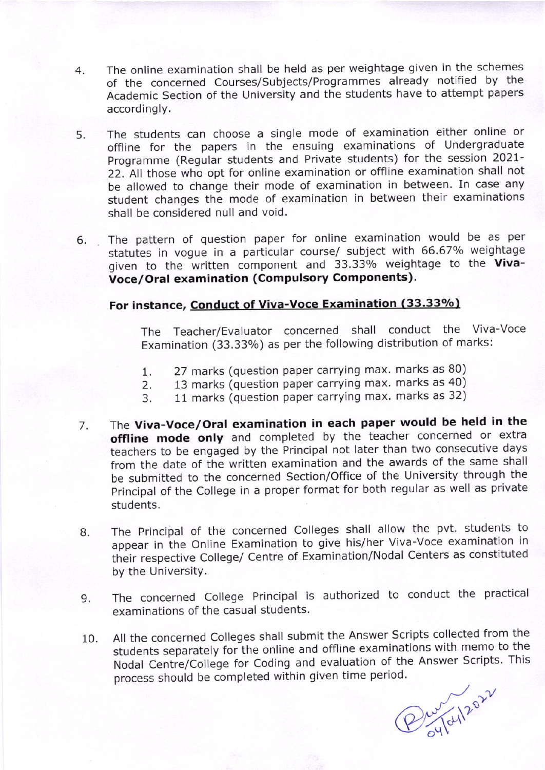- 4 The online examination shall be held as per weightage given in the schemes of the concerned Courses/Subjects/Programmes already notified by the Academic Section of the University and the students have to attempt papers accordingly.
- 5 The students can choose a single mode of examination either online or offline for the papers in the ensuing examinations of Undergraduate Programme (Regular students and Private students) for the session 2021- 22. All those who opt for online examination or offline examination shall not be allowed to change their mode of examination in between. In case any student changes the mode of examination in between their examinations shall be considered null and void.
- 6. The pattern of question paper for online examination would be as per statutes in vogue in a particular course/ subject with 66.67% weightage given to the written component and 33.33% weightage to the Vivavoce/oral examination (compulsory Components).

## For instance, Conduct of Viva-Voce Examination (33.33%)

The Teacher/Evaluator concerned shall conduct the Viva-Voce Examination (33.33%) as per the following distribution of marks:

- 1. 27 marks (question paper carrying max. marks as 80)<br>2. 13 marks (question paper carrying max. marks as 40)
- 2. 13 marks (question paper carrying max. marks as 40)<br>3. 11 marks (question paper carrying max. marks as 32)
- 11 marks (question paper carrying max. marks as 32)
- 7 The viva-Voce/Oral examination in each paper would be held in the offline mode only and completed by the teacher concerned or extra teachers to be engaged by the Principal not later than two consecutive days from the date of the written examination and the awards of the same shall be submitted to the concerned Section/Office of the University through the Principal of the College in a proper format for both regular as well as private students.
- The Principal of the concerned Colleges shall allow the pvt. students to appear in the Online Examination to give his/her Viva-Voce examination in their respective College/ Centre of Examination/Nodal Centers as constituted by the University. 8.
- The concerned College Principal is authorized to conduct the practical examinations of the casual students. 9.
- All the concerned Colleges shall submit the Answer Scripts collected from the students separately for the online and offline examinations with memo to the Nodal Centre/College for Coding and evaluation of the Answer Scripts. This 10 process should be completed within given time period.

Pro Taylor